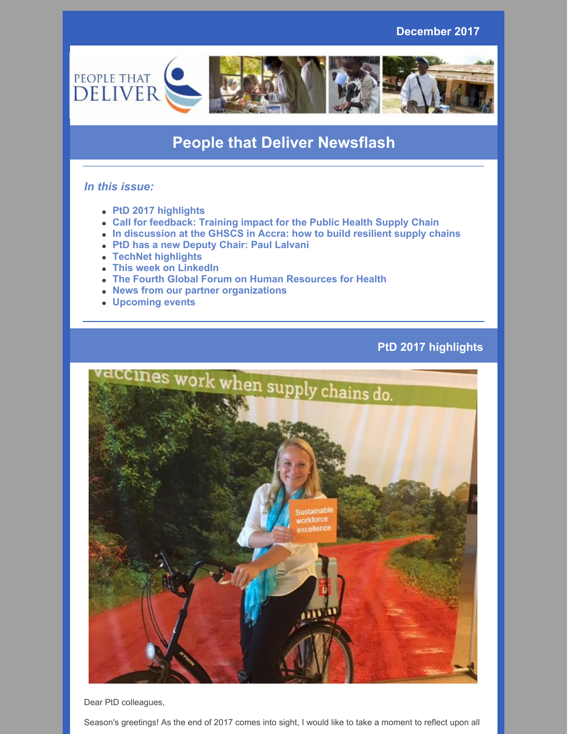**December 2017**



## **People that Deliver Newsflash**

## *In this issue:*

- **PtD 2017 highlights**
- **Call for feedback: Training impact for the Public Health Supply Chain**
- **In discussion at the GHSCS in Accra: how to build resilient supply chains**
- **PtD has a new Deputy Chair: Paul Lalvani**
- **TechNet highlights**
- **This week on LinkedIn**
- **The Fourth Global Forum on Human Resources for Health**
- **News from our partner organizations**
- **Upcoming events**

## **PtD 2017 highlights**



Dear PtD colleagues,

Season's greetings! As the end of 2017 comes into sight, I would like to take a moment to reflect upon all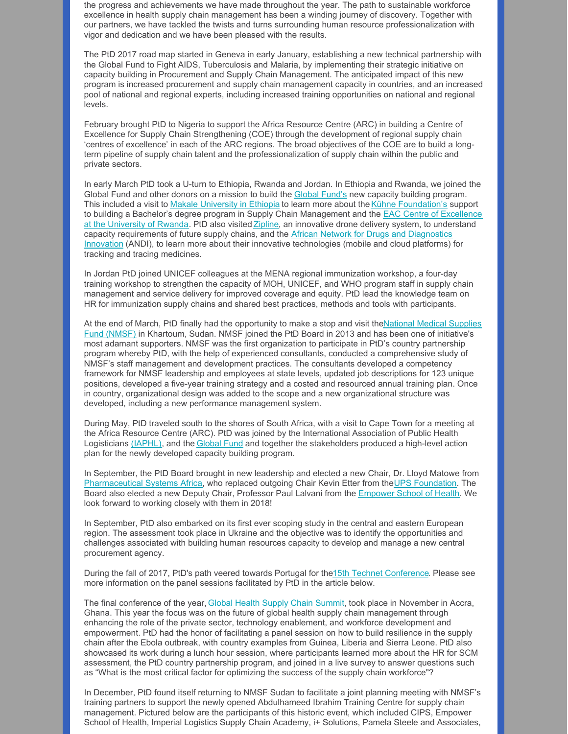the progress and achievements we have made throughout the year. The path to sustainable workforce excellence in health supply chain management has been a winding journey of discovery. Together with our partners, we have tackled the twists and turns surrounding human resource professionalization with vigor and dedication and we have been pleased with the results.

The PtD 2017 road map started in Geneva in early January, establishing a new technical partnership with the Global Fund to Fight AIDS, Tuberculosis and Malaria, by implementing their strategic initiative on capacity building in Procurement and Supply Chain Management. The anticipated impact of this new program is increased procurement and supply chain management capacity in countries, and an increased pool of national and regional experts, including increased training opportunities on national and regional levels.

February brought PtD to Nigeria to support the Africa Resource Centre (ARC) in building a Centre of Excellence for Supply Chain Strengthening (COE) through the development of regional supply chain 'centres of excellence' in each of the ARC regions. The broad objectives of the COE are to build a longterm pipeline of supply chain talent and the professionalization of supply chain within the public and private sectors.

In early March PtD took a U-turn to Ethiopia, Rwanda and Jordan. In Ethiopia and Rwanda, we joined the [Global](http://www.theglobalfund.org/en) Fund and other donors on a mission to build the Global Fund's new capacity building program. This included a visit to Makale [University](http://www.mu.edu.et/) in Ethiopia to learn more about the Kühne [Foundation's](http://www.campus-for-scm.de/kuehne-foundation.html) support to building a Bachelor's degree program in Supply Chain [Management](http://www.hscm.ur.ac.rw/) and the EAC Centre of Excellence at the University of Rwanda. PtD also visited [Zipline](http://www.flyzipline.com/), an innovative drone delivery system, to understand capacity [requirements](http://www.andi-africa.org/) of future supply chains, and the African Network for Drugs and Diagnostics Innovation (ANDI), to learn more about their innovative technologies (mobile and cloud platforms) for tracking and tracing medicines.

In Jordan PtD joined UNICEF colleagues at the MENA regional immunization workshop, a four-day training workshop to strengthen the capacity of MOH, UNICEF, and WHO program staff in supply chain management and service delivery for improved coverage and equity. PtD lead the knowledge team on HR for immunization supply chains and shared best practices, methods and tools with participants.

At the end of March, PtD finally had the opportunity to make a stop and visit [theNational](http://www.nmsf.gov.sd/) Medical Supplies Fund (NMSF) in Khartoum, Sudan. NMSF joined the PtD Board in 2013 and has been one of initiative's most adamant supporters. NMSF was the first organization to participate in PtD's country partnership program whereby PtD, with the help of experienced consultants, conducted a comprehensive study of NMSF's staff management and development practices. The consultants developed a competency framework for NMSF leadership and employees at state levels, updated job descriptions for 123 unique positions, developed a five-year training strategy and a costed and resourced annual training plan. Once in country, organizational design was added to the scope and a new organizational structure was developed, including a new performance management system.

During May, PtD traveled south to the shores of South Africa, with a visit to Cape Town for a meeting at the Africa Resource Centre (ARC). PtD was joined by the International Association of Public Health Logisticians [\(IAPHL\)](http://iaphl.org/), and the [Global](http://www.theglobalfund.org/en) Fund and together the stakeholders produced a high-level action plan for the newly developed capacity building program.

In September, the PtD Board brought in new leadership and elected a new Chair, Dr. Lloyd Matowe from [Pharmaceutical](http://pharmasystafrica.com/) Systems Africa, who replaced outgoing Chair Kevin Etter from the UPS [Foundation](https://sustainability.ups.com/the-ups-foundation/). The Board also elected a new Deputy Chair, Professor Paul Lalvani from the [Empower](http://www.empowerschoolofhealth.org/) School of Health. We look forward to working closely with them in 2018!

In September, PtD also embarked on its first ever scoping study in the central and eastern European region. The assessment took place in Ukraine and the objective was to identify the opportunities and challenges associated with building human resources capacity to develop and manage a new central procurement agency.

During the fall of 2017, PtD's path veered towards Portugal for the15th Technet [Conference](https://www.technet-21.org/en/conference/2017). Please see more information on the panel sessions facilitated by PtD in the article below.

The final conference of the year, Global Health Supply Chain [Summit](http://ghscs.com/), took place in November in Accra, Ghana. This year the focus was on the future of global health supply chain management through enhancing the role of the private sector, technology enablement, and workforce development and empowerment. PtD had the honor of facilitating a panel session on how to build resilience in the supply chain after the Ebola outbreak, with country examples from Guinea, Liberia and Sierra Leone. PtD also showcased its work during a lunch hour session, where participants learned more about the HR for SCM assessment, the PtD country partnership program, and joined in a live survey to answer questions such as "What is the most critical factor for optimizing the success of the supply chain workforce"?

In December, PtD found itself returning to NMSF Sudan to facilitate a joint planning meeting with NMSF's training partners to support the newly opened Abdulhameed Ibrahim Training Centre for supply chain management. Pictured below are the participants of this historic event, which included CIPS, Empower School of Health, Imperial Logistics Supply Chain Academy, i+ Solutions, Pamela Steele and Associates,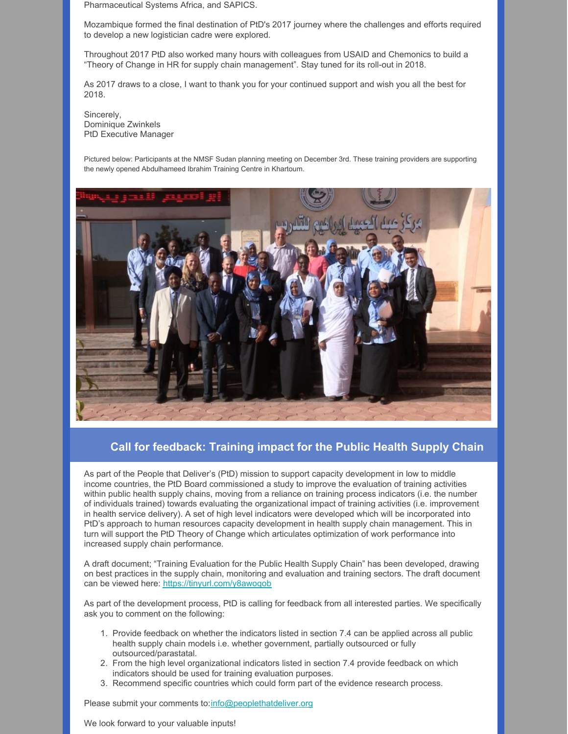Pharmaceutical Systems Africa, and SAPICS.

Mozambique formed the final destination of PtD's 2017 journey where the challenges and efforts required to develop a new logistician cadre were explored.

Throughout 2017 PtD also worked many hours with colleagues from USAID and Chemonics to build a "Theory of Change in HR for supply chain management". Stay tuned for its roll-out in 2018.

As 2017 draws to a close, I want to thank you for your continued support and wish you all the best for 2018.

Sincerely, Dominique Zwinkels PtD Executive Manager

Pictured below: Participants at the NMSF Sudan planning meeting on December 3rd. These training providers are supporting the newly opened Abdulhameed Ibrahim Training Centre in Khartoum.



## **Call for feedback: Training impact for the Public Health Supply Chain**

As part of the People that Deliver's (PtD) mission to support capacity development in low to middle income countries, the PtD Board commissioned a study to improve the evaluation of training activities within public health supply chains, moving from a reliance on training process indicators (i.e. the number of individuals trained) towards evaluating the organizational impact of training activities (i.e. improvement in health service delivery). A set of high level indicators were developed which will be incorporated into PtD's approach to human resources capacity development in health supply chain management. This in turn will support the PtD Theory of Change which articulates optimization of work performance into increased supply chain performance.

A draft document; "Training Evaluation for the Public Health Supply Chain" has been developed, drawing on best practices in the supply chain, monitoring and evaluation and training sectors. The draft document can be viewed here: <https://tinyurl.com/y8awoqob>

As part of the development process, PtD is calling for feedback from all interested parties. We specifically ask you to comment on the following:

- 1. Provide feedback on whether the indicators listed in section 7.4 can be applied across all public health supply chain models i.e. whether government, partially outsourced or fully outsourced/parastatal.
- 2. From the high level organizational indicators listed in section 7.4 provide feedback on which indicators should be used for training evaluation purposes.
- 3. Recommend specific countries which could form part of the evidence research process.

Please submit your comments to:[info@peoplethatdeliver.org](mailto:info@peoplethatdeliver.org)

We look forward to your valuable inputs!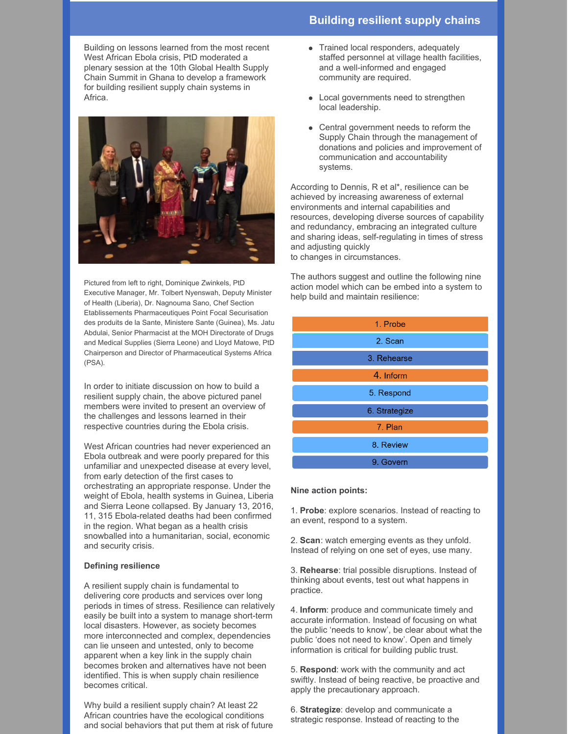Building on lessons learned from the most recent West African Ebola crisis, PtD moderated a plenary session at the 10th Global Health Supply Chain Summit in Ghana to develop a framework for building resilient supply chain systems in Africa.



Pictured from left to right, Dominique Zwinkels, PtD Executive Manager, Mr. Tolbert Nyenswah, Deputy Minister of Health (Liberia), Dr. Nagnouma Sano, Chef Section Etablissements Pharmaceutiques Point Focal Securisation des produits de la Sante, Ministere Sante (Guinea), Ms. Jatu Abdulai, Senior Pharmacist at the MOH Directorate of Drugs and Medical Supplies (Sierra Leone) and Lloyd Matowe, PtD Chairperson and Director of Pharmaceutical Systems Africa (PSA).

In order to initiate discussion on how to build a resilient supply chain, the above pictured panel members were invited to present an overview of the challenges and lessons learned in their respective countries during the Ebola crisis.

West African countries had never experienced an Ebola outbreak and were poorly prepared for this unfamiliar and unexpected disease at every level, from early detection of the first cases to orchestrating an appropriate response. Under the weight of Ebola, health systems in Guinea, Liberia and Sierra Leone collapsed. By January 13, 2016, 11, 315 Ebola-related deaths had been confirmed in the region. What began as a health crisis snowballed into a humanitarian, social, economic and security crisis.

#### **Defining resilience**

A resilient supply chain is fundamental to delivering core products and services over long periods in times of stress. Resilience can relatively easily be built into a system to manage short-term local disasters. However, as society becomes more interconnected and complex, dependencies can lie unseen and untested, only to become apparent when a key link in the supply chain becomes broken and alternatives have not been identified. This is when supply chain resilience becomes critical.

Why build a resilient supply chain? At least 22 African countries have the ecological conditions and social behaviors that put them at risk of future

- Trained local responders, adequately staffed personnel at village health facilities, and a well-informed and engaged community are required.
- Local governments need to strengthen local leadership.
- Central government needs to reform the Supply Chain through the management of donations and policies and improvement of communication and accountability systems.

According to Dennis, R et al\*, resilience can be achieved by increasing awareness of external environments and internal capabilities and resources, developing diverse sources of capability and redundancy, embracing an integrated culture and sharing ideas, self-regulating in times of stress and adjusting quickly to changes in circumstances.

The authors suggest and outline the following nine action model which can be embed into a system to help build and maintain resilience:

| 1. Probe      |
|---------------|
| 2. Scan       |
| 3. Rehearse   |
| 4. Inform     |
| 5. Respond    |
| 6. Strategize |
| 7. Plan       |
| 8. Review     |
| 9. Govern     |

#### **Nine action points:**

1. **Probe**: explore scenarios. Instead of reacting to an event, respond to a system.

2. **Scan**: watch emerging events as they unfold. Instead of relying on one set of eyes, use many.

3. **Rehearse**: trial possible disruptions. Instead of thinking about events, test out what happens in practice.

4. **Inform**: produce and communicate timely and accurate information. Instead of focusing on what the public 'needs to know', be clear about what the public 'does not need to know'. Open and timely information is critical for building public trust.

5. **Respond**: work with the community and act swiftly. Instead of being reactive, be proactive and apply the precautionary approach.

6. **Strategize**: develop and communicate a strategic response. Instead of reacting to the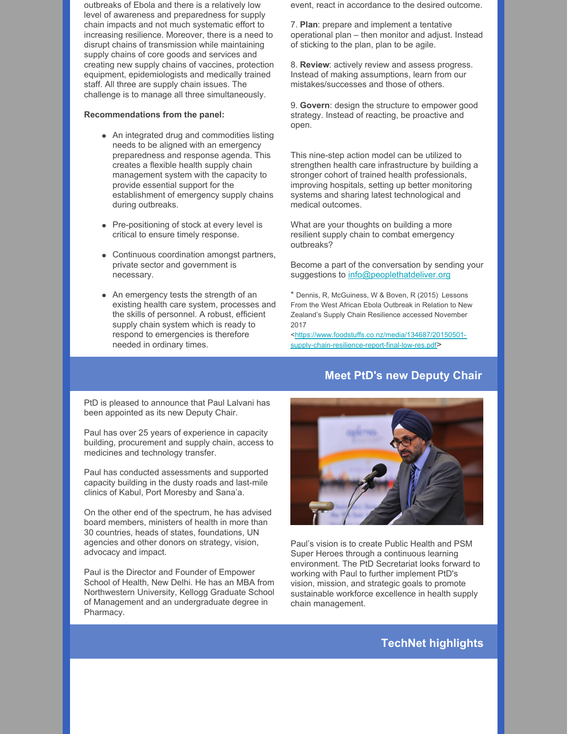outbreaks of Ebola and there is a relatively low level of awareness and preparedness for supply chain impacts and not much systematic effort to increasing resilience. Moreover, there is a need to disrupt chains of transmission while maintaining supply chains of core goods and services and creating new supply chains of vaccines, protection equipment, epidemiologists and medically trained staff. All three are supply chain issues. The challenge is to manage all three simultaneously.

#### **Recommendations from the panel:**

- An integrated drug and commodities listing needs to be aligned with an emergency preparedness and response agenda. This creates a flexible health supply chain management system with the capacity to provide essential support for the establishment of emergency supply chains during outbreaks.
- Pre-positioning of stock at every level is critical to ensure timely response.
- Continuous coordination amongst partners, private sector and government is necessary.
- An emergency tests the strength of an existing health care system, processes and the skills of personnel. A robust, efficient supply chain system which is ready to respond to emergencies is therefore needed in ordinary times.

event, react in accordance to the desired outcome.

7. **Plan**: prepare and implement a tentative operational plan – then monitor and adjust. Instead of sticking to the plan, plan to be agile.

8. **Review**: actively review and assess progress. Instead of making assumptions, learn from our mistakes/successes and those of others.

9. **Govern**: design the structure to empower good strategy. Instead of reacting, be proactive and open.

This nine-step action model can be utilized to strengthen health care infrastructure by building a stronger cohort of trained health professionals, improving hospitals, setting up better monitoring systems and sharing latest technological and medical outcomes.

What are your thoughts on building a more resilient supply chain to combat emergency outbreaks?

Become a part of the conversation by sending your suggestions to [info@peoplethatdeliver.org](mailto:info@peoplethatdeliver.org)

\* Dennis, R, McGuiness, W & Boven, R (2015) Lessons From the West African Ebola Outbreak in Relation to New Zealand's Supply Chain Resilience accessed November 2017

[<https://www.foodstuffs.co.nz/media/134687/20150501](https://www.foodstuffs.co.nz/media/134687/20150501-supply-chain-resilience-report-final-low-res.pdf) supply-chain-resilience-report-final-low-res.pdf>

#### **Meet PtD's new Deputy Chair**

PtD is pleased to announce that Paul Lalvani has been appointed as its new Deputy Chair.

Paul has over 25 years of experience in capacity building, procurement and supply chain, access to medicines and technology transfer.

Paul has conducted assessments and supported capacity building in the dusty roads and last-mile clinics of Kabul, Port Moresby and Sana'a.

On the other end of the spectrum, he has advised board members, ministers of health in more than 30 countries, heads of states, foundations, UN agencies and other donors on strategy, vision, advocacy and impact.

Paul is the Director and Founder of Empower School of Health, New Delhi. He has an MBA from Northwestern University, Kellogg Graduate School of Management and an undergraduate degree in Pharmacy.



Paul's vision is to create Public Health and PSM Super Heroes through a continuous learning environment. The PtD Secretariat looks forward to working with Paul to further implement PtD's vision, mission, and strategic goals to promote sustainable workforce excellence in health supply chain management.

**TechNet highlights**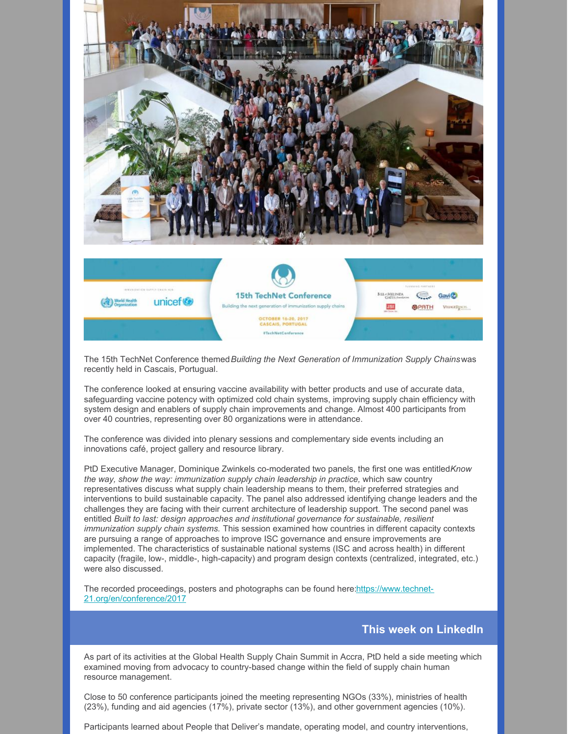

The 15th TechNet Conference themed*Building the Next Generation of Immunization Supply Chains*was recently held in Cascais, Portugual.

The conference looked at ensuring vaccine availability with better products and use of accurate data, safeguarding vaccine potency with optimized cold chain systems, improving supply chain efficiency with system design and enablers of supply chain improvements and change. Almost 400 participants from over 40 countries, representing over 80 organizations were in attendance.

The conference was divided into plenary sessions and complementary side events including an innovations café, project gallery and resource library.

PtD Executive Manager, Dominique Zwinkels co-moderated two panels, the first one was entitled*Know the way, show the way: immunization supply chain leadership in practice,* which saw country representatives discuss what supply chain leadership means to them, their preferred strategies and interventions to build sustainable capacity. The panel also addressed identifying change leaders and the challenges they are facing with their current architecture of leadership support. The second panel was entitled *Built to last: design approaches and institutional governance for sustainable, resilient immunization supply chain systems.* This session examined how countries in different capacity contexts are pursuing a range of approaches to improve ISC governance and ensure improvements are implemented. The characteristics of sustainable national systems (ISC and across health) in different capacity (fragile, low-, middle-, high-capacity) and program design contexts (centralized, integrated, etc.) were also discussed.

The recorded proceedings, posters and photographs can be found here:https://www.technet-[21.org/en/conference/2017](https://www.technet-21.org/en/conference/2017)

## **This week on LinkedIn**

As part of its activities at the Global Health Supply Chain Summit in Accra, PtD held a side meeting which examined moving from advocacy to country-based change within the field of supply chain human resource management.

Close to 50 conference participants joined the meeting representing NGOs (33%), ministries of health (23%), funding and aid agencies (17%), private sector (13%), and other government agencies (10%).

Participants learned about People that Deliver's mandate, operating model, and country interventions,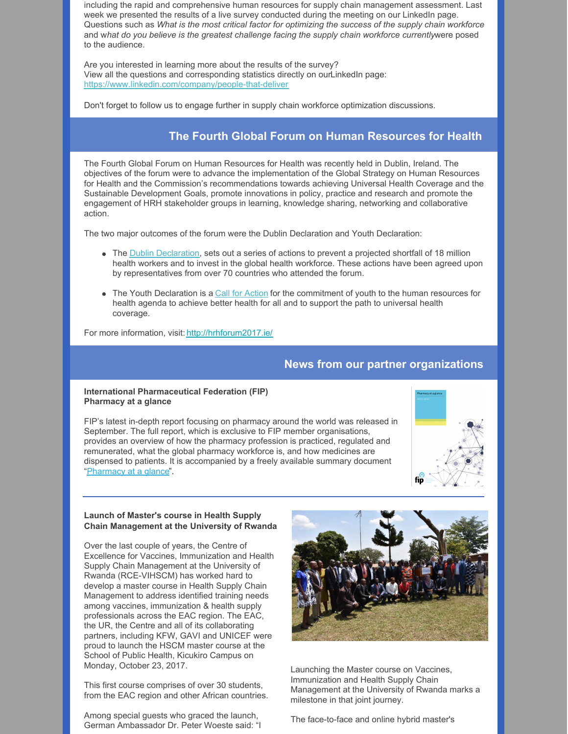including the rapid and comprehensive human resources for supply chain management assessment. Last week we presented the results of a live survey conducted during the meeting on our LinkedIn page. Questions such as *What is the most critical factor for optimizing the success of the supply chain workforce* and w*hat do you believe is the greatest challenge facing the supply chain workforce currently*were posed to the audience.

Are you interested in learning more about the results of the survey? View all the questions and corresponding statistics directly on ourLinkedIn page: <https://www.linkedin.com/company/people-that-deliver>

Don't forget to follow us to engage further in supply chain workforce optimization discussions.

## **The Fourth Global Forum on Human Resources for Health**

The Fourth Global Forum on Human Resources for Health was recently held in Dublin, Ireland. The objectives of the forum were to advance the implementation of the Global Strategy on Human Resources for Health and the Commission's recommendations towards achieving Universal Health Coverage and the Sustainable Development Goals, promote innovations in policy, practice and research and promote the engagement of HRH stakeholder groups in learning, knowledge sharing, networking and collaborative action.

The two major outcomes of the forum were the Dublin Declaration and Youth Declaration:

- The **Dublin [Declaration](https://fip.us9.list-manage.com/track/click?u=8a53014ef869b0c219eac7e5f&id=e45ca5ae83&e=e63c8b69cd)**, sets out a series of actions to prevent a projected shortfall of 18 million health workers and to invest in the global health workforce. These actions have been agreed upon by representatives from over 70 countries who attended the forum.
- The Youth Declaration is a Call for [Action](https://fip.us9.list-manage.com/track/click?u=8a53014ef869b0c219eac7e5f&id=044f0a1c9e&e=e63c8b69cd) for the commitment of youth to the human resources for health agenda to achieve better health for all and to support the path to universal health coverage.

For more information, visit: <http://hrhforum2017.ie/>

## **News from our partner organizations**

#### **International Pharmaceutical Federation (FIP) Pharmacy at a glance**

FIP's latest in-depth report focusing on pharmacy around the world was released in September. The full report, which is exclusive to FIP member organisations, provides an overview of how the pharmacy profession is practiced, regulated and remunerated, what the global pharmacy workforce is, and how medicines are dispensed to patients. It is accompanied by a freely available summary document ["Pharmacy](https://fip.us9.list-manage.com/track/click?u=8a53014ef869b0c219eac7e5f&id=88a81f936d&e=e63c8b69cd) at a glance".



#### **Launch of Master's course in Health Supply Chain Management at the University of Rwanda**

Over the last couple of years, the Centre of Excellence for Vaccines, Immunization and Health Supply Chain Management at the University of Rwanda (RCE-VIHSCM) has worked hard to develop a master course in Health Supply Chain Management to address identified training needs among vaccines, immunization & health supply professionals across the EAC region. The EAC, the UR, the Centre and all of its collaborating partners, including KFW, GAVI and UNICEF were proud to launch the HSCM master course at the School of Public Health, Kicukiro Campus on Monday, October 23, 2017.

This first course comprises of over 30 students, from the EAC region and other African countries.

Among special guests who graced the launch, German Ambassador Dr. Peter Woeste said: "I



Launching the Master course on Vaccines, Immunization and Health Supply Chain Management at the University of Rwanda marks a milestone in that joint journey.

The face-to-face and online hybrid master's